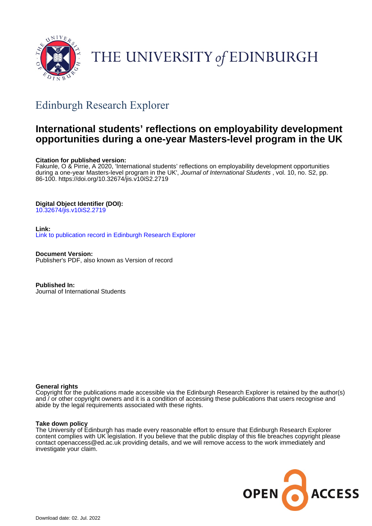

# THE UNIVERSITY of EDINBURGH

# Edinburgh Research Explorer

# **International students' reflections on employability development opportunities during a one-year Masters-level program in the UK**

# **Citation for published version:**

Fakunle, O & Pirrie, A 2020, 'International students' reflections on employability development opportunities during a one-year Masters-level program in the UK', Journal of International Students, vol. 10, no. S2, pp. 86-100. <https://doi.org/10.32674/jis.v10iS2.2719>

## **Digital Object Identifier (DOI):**

[10.32674/jis.v10iS2.2719](https://doi.org/10.32674/jis.v10iS2.2719)

### **Link:**

[Link to publication record in Edinburgh Research Explorer](https://www.research.ed.ac.uk/en/publications/553f56f3-f8ba-4811-9325-1a899efa0e5d)

**Document Version:** Publisher's PDF, also known as Version of record

**Published In:** Journal of International Students

### **General rights**

Copyright for the publications made accessible via the Edinburgh Research Explorer is retained by the author(s) and / or other copyright owners and it is a condition of accessing these publications that users recognise and abide by the legal requirements associated with these rights.

### **Take down policy**

The University of Edinburgh has made every reasonable effort to ensure that Edinburgh Research Explorer content complies with UK legislation. If you believe that the public display of this file breaches copyright please contact openaccess@ed.ac.uk providing details, and we will remove access to the work immediately and investigate your claim.

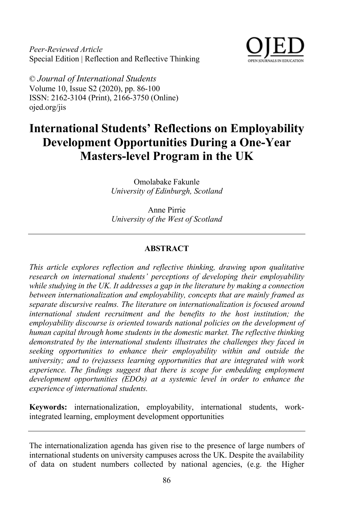*Peer-Reviewed Article* Special Edition | Reflection and Reflective Thinking



© *Journal of International Students* Volume 10, Issue S2 (2020), pp. 86-100 ISSN: 2162-3104 (Print), 2166-3750 (Online) ojed.org/jis

# **International Students' Reflections on Employability Development Opportunities During a One-Year Masters-level Program in the UK**

Omolabake Fakunle *University of Edinburgh, Scotland*

Anne Pirrie *University of the West of Scotland*

#### **ABSTRACT**

*This article explores reflection and reflective thinking, drawing upon qualitative research on international students' perceptions of developing their employability while studying in the UK. It addresses a gap in the literature by making a connection between internationalization and employability, concepts that are mainly framed as separate discursive realms. The literature on internationalization is focused around international student recruitment and the benefits to the host institution; the employability discourse is oriented towards national policies on the development of human capital through home students in the domestic market. The reflective thinking demonstrated by the international students illustrates the challenges they faced in seeking opportunities to enhance their employability within and outside the university; and to (re)assess learning opportunities that are integrated with work experience. The findings suggest that there is scope for embedding employment development opportunities (EDOs) at a systemic level in order to enhance the experience of international students.*

**Keywords:** internationalization, employability, international students, workintegrated learning, employment development opportunities

The internationalization agenda has given rise to the presence of large numbers of international students on university campuses across the UK. Despite the availability of data on student numbers collected by national agencies, (e.g. the Higher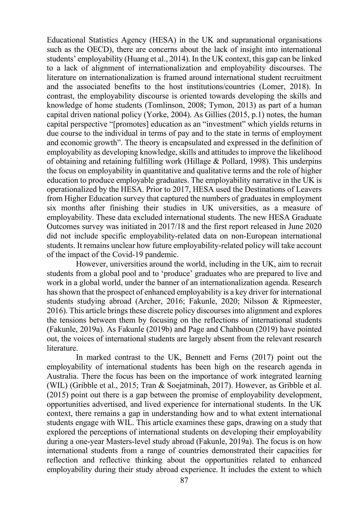Educational Statistics Agency (HESA) in the UK and supranational organisations such as the OECD), there are concerns about the lack of insight into international students' employability (Huang et al., 2014). In the UK context, this gap can be linked to a lack of alignment of internationalization and employability discourses. The literature on internationalization is framed around international student recruitment and the associated benefits to the host institutions/countries (Lomer, 2018). In contrast, the employability discourse is oriented towards developing the skills and knowledge of home students (Tomlinson, 2008; Tymon, 2013) as part of a human capital driven national policy (Yorke, 2004). As Gillies (2015, p.1) notes, the human capital perspective "[promotes] education as an "investment" which yields returns in due course to the individual in terms of pay and to the state in terms of employment and economic growth". The theory is encapsulated and expressed in the definition of employability as developing knowledge, skills and attitudes to improve the likelihood of obtaining and retaining fulfilling work (Hillage & Pollard, 1998). This underpins the focus on employability in quantitative and qualitative terms and the role of higher education to produce employable graduates. The employability narrative in the UK is operationalized by the HESA. Prior to 2017, HESA used the Destinations of Leavers from Higher Education survey that captured the numbers of graduates in employment six months after finishing their studies in UK universities, as a measure of employability. These data excluded international students. The new HESA Graduate Outcomes survey was initiated in 2017/18 and the first report released in June 2020 did not include specific employability-related data on non-European international students. It remains unclear how future employability-related policy will take account of the impact of the Covid-19 pandemic.

However, universities around the world, including in the UK, aim to recruit students from a global pool and to 'produce' graduates who are prepared to live and work in a global world, under the banner of an internationalization agenda. Research has shown that the prospect of enhanced employability is a key driver for international students studying abroad (Archer, 2016; Fakunle, 2020; Nilsson & Ripmeester, 2016). This article brings these discrete policy discourses into alignment and explores the tensions between them by focusing on the reflections of international students (Fakunle, 2019a). As Fakunle (2019b) and Page and Chahboun (2019) have pointed out, the voices of international students are largely absent from the relevant research literature.

In marked contrast to the UK, Bennett and Ferns (2017) point out the employability of international students has been high on the research agenda in Australia. There the focus has been on the importance of work integrated learning (WIL) (Gribble et al., 2015; Tran & Soejatminah, 2017). However, as Gribble et al. (2015) point out there is a gap between the promise of employability development, opportunities advertised, and lived experience for international students. In the UK context, there remains a gap in understanding how and to what extent international students engage with WIL. This article examines these gaps, drawing on a study that explored the perceptions of international students on developing their employability during a one-year Masters-level study abroad (Fakunle, 2019a). The focus is on how international students from a range of countries demonstrated their capacities for reflection and reflective thinking about the opportunities related to enhanced employability during their study abroad experience. It includes the extent to which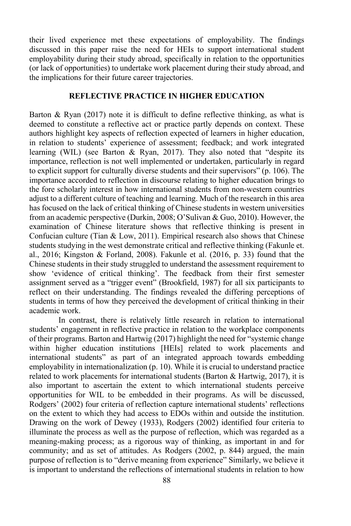their lived experience met these expectations of employability. The findings discussed in this paper raise the need for HEIs to support international student employability during their study abroad, specifically in relation to the opportunities (or lack of opportunities) to undertake work placement during their study abroad, and the implications for their future career trajectories.

#### **REFLECTIVE PRACTICE IN HIGHER EDUCATION**

Barton & Ryan (2017) note it is difficult to define reflective thinking, as what is deemed to constitute a reflective act or practice partly depends on context. These authors highlight key aspects of reflection expected of learners in higher education, in relation to students' experience of assessment; feedback; and work integrated learning (WIL) (see Barton & Ryan, 2017). They also noted that "despite its importance, reflection is not well implemented or undertaken, particularly in regard to explicit support for culturally diverse students and their supervisors" (p. 106). The importance accorded to reflection in discourse relating to higher education brings to the fore scholarly interest in how international students from non-western countries adjust to a different culture of teaching and learning. Much of the research in this area has focused on the lack of critical thinking of Chinese students in western universities from an academic perspective (Durkin, 2008; O'Sulivan & Guo, 2010). However, the examination of Chinese literature shows that reflective thinking is present in Confucian culture (Tian & Low, 2011). Empirical research also shows that Chinese students studying in the west demonstrate critical and reflective thinking (Fakunle et. al., 2016; Kingston & Forland, 2008). Fakunle et al. (2016, p. 33) found that the Chinese students in their study struggled to understand the assessment requirement to show 'evidence of critical thinking'. The feedback from their first semester assignment served as a "trigger event" (Brookfield, 1987) for all six participants to reflect on their understanding. The findings revealed the differing perceptions of students in terms of how they perceived the development of critical thinking in their academic work.

In contrast, there is relatively little research in relation to international students' engagement in reflective practice in relation to the workplace components of their programs. Barton and Hartwig (2017) highlight the need for "systemic change within higher education institutions [HEIs] related to work placements and international students" as part of an integrated approach towards embedding employability in internationalization (p. 10). While it is crucial to understand practice related to work placements for international students (Barton  $&$  Hartwig, 2017), it is also important to ascertain the extent to which international students perceive opportunities for WIL to be embedded in their programs. As will be discussed, Rodgers' (2002) four criteria of reflection capture international students' reflections on the extent to which they had access to EDOs within and outside the institution. Drawing on the work of Dewey (1933), Rodgers (2002) identified four criteria to illuminate the process as well as the purpose of reflection, which was regarded as a meaning-making process; as a rigorous way of thinking, as important in and for community; and as set of attitudes. As Rodgers (2002, p. 844) argued, the main purpose of reflection is to "derive meaning from experience" Similarly, we believe it is important to understand the reflections of international students in relation to how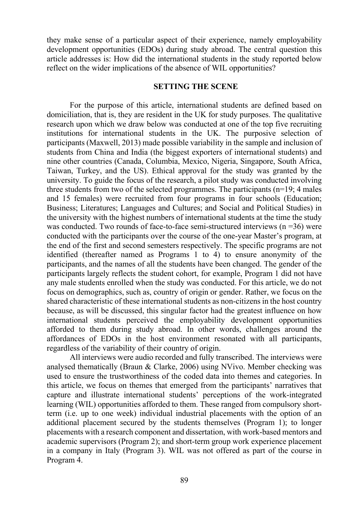they make sense of a particular aspect of their experience, namely employability development opportunities (EDOs) during study abroad. The central question this article addresses is: How did the international students in the study reported below reflect on the wider implications of the absence of WIL opportunities?

#### **SETTING THE SCENE**

For the purpose of this article, international students are defined based on domiciliation, that is, they are resident in the UK for study purposes. The qualitative research upon which we draw below was conducted at one of the top five recruiting institutions for international students in the UK. The purposive selection of participants (Maxwell, 2013) made possible variability in the sample and inclusion of students from China and India (the biggest exporters of international students) and nine other countries (Canada, Columbia, Mexico, Nigeria, Singapore, South Africa, Taiwan, Turkey, and the US). Ethical approval for the study was granted by the university. To guide the focus of the research, a pilot study was conducted involving three students from two of the selected programmes. The participants (n=19; 4 males and 15 females) were recruited from four programs in four schools (Education; Business; Literatures; Languages and Cultures; and Social and Political Studies) in the university with the highest numbers of international students at the time the study was conducted. Two rounds of face-to-face semi-structured interviews  $(n = 36)$  were conducted with the participants over the course of the one-year Master's program, at the end of the first and second semesters respectively. The specific programs are not identified (thereafter named as Programs 1 to 4) to ensure anonymity of the participants, and the names of all the students have been changed. The gender of the participants largely reflects the student cohort, for example, Program 1 did not have any male students enrolled when the study was conducted. For this article, we do not focus on demographics, such as, country of origin or gender. Rather, we focus on the shared characteristic of these international students as non-citizens in the host country because, as will be discussed, this singular factor had the greatest influence on how international students perceived the employability development opportunities afforded to them during study abroad. In other words, challenges around the affordances of EDOs in the host environment resonated with all participants, regardless of the variability of their country of origin.

All interviews were audio recorded and fully transcribed. The interviews were analysed thematically (Braun & Clarke, 2006) using NVivo. Member checking was used to ensure the trustworthiness of the coded data into themes and categories. In this article, we focus on themes that emerged from the participants' narratives that capture and illustrate international students' perceptions of the work-integrated learning (WIL) opportunities afforded to them. These ranged from compulsory shortterm (i.e. up to one week) individual industrial placements with the option of an additional placement secured by the students themselves (Program 1); to longer placements with a research component and dissertation, with work-based mentors and academic supervisors (Program 2); and short-term group work experience placement in a company in Italy (Program 3). WIL was not offered as part of the course in Program 4.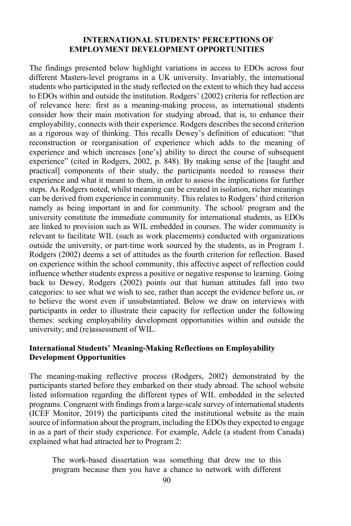#### **INTERNATIONAL STUDENTS' PERCEPTIONS OF EMPLOYMENT DEVELOPMENT OPPORTUNITIES**

The findings presented below highlight variations in access to EDOs across four different Masters-level programs in a UK university. Invariably, the international students who participated in the study reflected on the extent to which they had access to EDOs within and outside the institution. Rodgers' (2002) criteria for reflection are of relevance here: first as a meaning-making process, as international students consider how their main motivation for studying abroad, that is, to enhance their employability, connects with their experience. Rodgers describes the second criterion as a rigorous way of thinking. This recalls Dewey's definition of education: "that reconstruction or reorganisation of experience which adds to the meaning of experience and which increases [one's] ability to direct the course of subsequent experience" (cited in Rodgers, 2002, p. 848). By making sense of the [taught and practical] components of their study, the participants needed to reassess their experience and what it meant to them, in order to assess the implications for further steps. As Rodgers noted, whilst meaning can be created in isolation, richer meanings can be derived from experience in community. This relates to Rodgers' third criterion namely as being important in and for community. The school/ program and the university constitute the immediate community for international students, as EDOs are linked to provision such as WIL embedded in courses. The wider community is relevant to facilitate WIL (such as work placements) conducted with organizations outside the university, or part-time work sourced by the students, as in Program 1. Rodgers (2002) deems a set of attitudes as the fourth criterion for reflection. Based on experience within the school community, this affective aspect of reflection could influence whether students express a positive or negative response to learning. Going back to Dewey, Rodgers (2002) points out that human attitudes fall into two categories: to see what we wish to see, rather than accept the evidence before us, or to believe the worst even if unsubstantiated. Below we draw on interviews with participants in order to illustrate their capacity for reflection under the following themes: seeking employability development opportunities within and outside the university; and (re)assessment of WIL.

#### **International Students' Meaning-Making Reflections on Employability Development Opportunities**

The meaning-making reflective process (Rodgers, 2002) demonstrated by the participants started before they embarked on their study abroad. The school website listed information regarding the different types of WIL embedded in the selected programs. Congruent with findings from a large-scale survey of international students (ICEF Monitor, 2019) the participants cited the institutional website as the main source of information about the program, including the EDOs they expected to engage in as a part of their study experience. For example, Adele (a student from Canada) explained what had attracted her to Program 2:

The work-based dissertation was something that drew me to this program because then you have a chance to network with different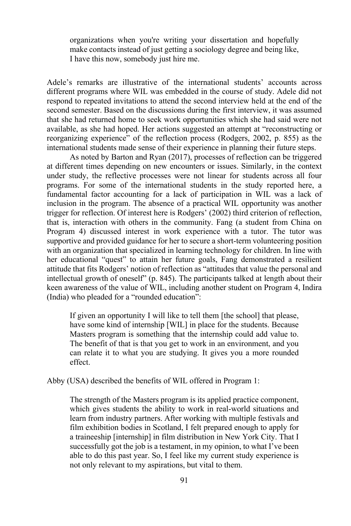organizations when you're writing your dissertation and hopefully make contacts instead of just getting a sociology degree and being like, I have this now, somebody just hire me.

Adele's remarks are illustrative of the international students' accounts across different programs where WIL was embedded in the course of study. Adele did not respond to repeated invitations to attend the second interview held at the end of the second semester. Based on the discussions during the first interview, it was assumed that she had returned home to seek work opportunities which she had said were not available, as she had hoped. Her actions suggested an attempt at "reconstructing or reorganizing experience" of the reflection process (Rodgers, 2002, p. 855) as the international students made sense of their experience in planning their future steps.

As noted by Barton and Ryan (2017), processes of reflection can be triggered at different times depending on new encounters or issues. Similarly, in the context under study, the reflective processes were not linear for students across all four programs. For some of the international students in the study reported here, a fundamental factor accounting for a lack of participation in WIL was a lack of inclusion in the program. The absence of a practical WIL opportunity was another trigger for reflection. Of interest here is Rodgers' (2002) third criterion of reflection, that is, interaction with others in the community. Fang (a student from China on Program 4) discussed interest in work experience with a tutor. The tutor was supportive and provided guidance for her to secure a short-term volunteering position with an organization that specialized in learning technology for children. In line with her educational "quest" to attain her future goals, Fang demonstrated a resilient attitude that fits Rodgers' notion of reflection as "attitudes that value the personal and intellectual growth of oneself" (p. 845). The participants talked at length about their keen awareness of the value of WIL, including another student on Program 4, Indira (India) who pleaded for a "rounded education":

If given an opportunity I will like to tell them [the school] that please, have some kind of internship [WIL] in place for the students. Because Masters program is something that the internship could add value to. The benefit of that is that you get to work in an environment, and you can relate it to what you are studying. It gives you a more rounded effect.

Abby (USA) described the benefits of WIL offered in Program 1:

The strength of the Masters program is its applied practice component, which gives students the ability to work in real-world situations and learn from industry partners. After working with multiple festivals and film exhibition bodies in Scotland, I felt prepared enough to apply for a traineeship [internship] in film distribution in New York City. That I successfully got the job is a testament, in my opinion, to what I've been able to do this past year. So, I feel like my current study experience is not only relevant to my aspirations, but vital to them.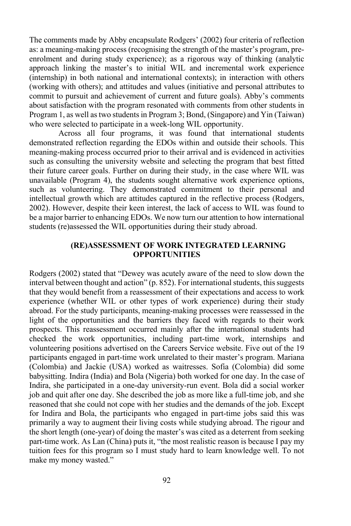The comments made by Abby encapsulate Rodgers' (2002) four criteria of reflection as: a meaning-making process (recognising the strength of the master's program, preenrolment and during study experience); as a rigorous way of thinking (analytic approach linking the master's to initial WIL and incremental work experience (internship) in both national and international contexts); in interaction with others (working with others); and attitudes and values (initiative and personal attributes to commit to pursuit and achievement of current and future goals). Abby's comments about satisfaction with the program resonated with comments from other students in Program 1, as well as two students in Program 3; Bond, (Singapore) and Yin (Taiwan) who were selected to participate in a week-long WIL opportunity.

Across all four programs, it was found that international students demonstrated reflection regarding the EDOs within and outside their schools. This meaning-making process occurred prior to their arrival and is evidenced in activities such as consulting the university website and selecting the program that best fitted their future career goals. Further on during their study, in the case where WIL was unavailable (Program 4), the students sought alternative work experience options, such as volunteering. They demonstrated commitment to their personal and intellectual growth which are attitudes captured in the reflective process (Rodgers, 2002). However, despite their keen interest, the lack of access to WIL was found to be a major barrier to enhancing EDOs. We now turn our attention to how international students (re)assessed the WIL opportunities during their study abroad.

#### **(RE)ASSESSMENT OF WORK INTEGRATED LEARNING OPPORTUNITIES**

Rodgers (2002) stated that "Dewey was acutely aware of the need to slow down the interval between thought and action" (p. 852). For international students, this suggests that they would benefit from a reassessment of their expectations and access to work experience (whether WIL or other types of work experience) during their study abroad. For the study participants, meaning-making processes were reassessed in the light of the opportunities and the barriers they faced with regards to their work prospects. This reassessment occurred mainly after the international students had checked the work opportunities, including part-time work, internships and volunteering positions advertised on the Careers Service website. Five out of the 19 participants engaged in part-time work unrelated to their master's program. Mariana (Colombia) and Jackie (USA) worked as waitresses. Sofia (Colombia) did some babysitting. Indira (India) and Bola (Nigeria) both worked for one day. In the case of Indira, she participated in a one-day university-run event. Bola did a social worker job and quit after one day. She described the job as more like a full-time job, and she reasoned that she could not cope with her studies and the demands of the job. Except for Indira and Bola, the participants who engaged in part-time jobs said this was primarily a way to augment their living costs while studying abroad. The rigour and the short length (one-year) of doing the master's was cited as a deterrent from seeking part-time work. As Lan (China) puts it, "the most realistic reason is because I pay my tuition fees for this program so I must study hard to learn knowledge well. To not make my money wasted."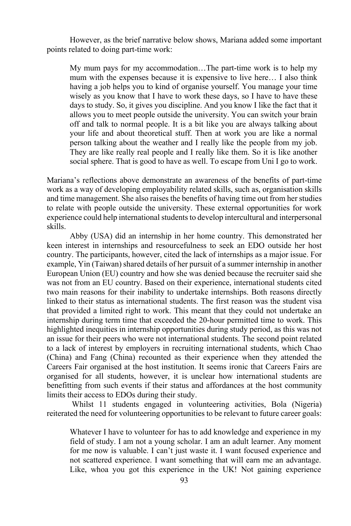However, as the brief narrative below shows, Mariana added some important points related to doing part-time work:

My mum pays for my accommodation…The part-time work is to help my mum with the expenses because it is expensive to live here… I also think having a job helps you to kind of organise yourself. You manage your time wisely as you know that I have to work these days, so I have to have these days to study. So, it gives you discipline. And you know I like the fact that it allows you to meet people outside the university. You can switch your brain off and talk to normal people. It is a bit like you are always talking about your life and about theoretical stuff. Then at work you are like a normal person talking about the weather and I really like the people from my job. They are like really real people and I really like them. So it is like another social sphere. That is good to have as well. To escape from Uni I go to work.

Mariana's reflections above demonstrate an awareness of the benefits of part-time work as a way of developing employability related skills, such as, organisation skills and time management. She also raises the benefits of having time out from her studies to relate with people outside the university. These external opportunities for work experience could help international students to develop intercultural and interpersonal skills.

Abby (USA) did an internship in her home country. This demonstrated her keen interest in internships and resourcefulness to seek an EDO outside her host country. The participants, however, cited the lack of internships as a major issue. For example, Yin (Taiwan) shared details of her pursuit of a summer internship in another European Union (EU) country and how she was denied because the recruiter said she was not from an EU country. Based on their experience, international students cited two main reasons for their inability to undertake internships. Both reasons directly linked to their status as international students. The first reason was the student visa that provided a limited right to work. This meant that they could not undertake an internship during term time that exceeded the 20-hour permitted time to work. This highlighted inequities in internship opportunities during study period, as this was not an issue for their peers who were not international students. The second point related to a lack of interest by employers in recruiting international students, which Chao (China) and Fang (China) recounted as their experience when they attended the Careers Fair organised at the host institution. It seems ironic that Careers Fairs are organised for all students, however, it is unclear how international students are benefitting from such events if their status and affordances at the host community limits their access to EDOs during their study.

Whilst 11 students engaged in volunteering activities, Bola (Nigeria) reiterated the need for volunteering opportunities to be relevant to future career goals:

Whatever I have to volunteer for has to add knowledge and experience in my field of study. I am not a young scholar. I am an adult learner. Any moment for me now is valuable. I can't just waste it. I want focused experience and not scattered experience. I want something that will earn me an advantage. Like, whoa you got this experience in the UK! Not gaining experience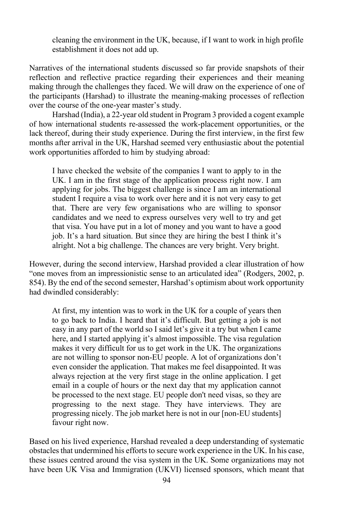cleaning the environment in the UK, because, if I want to work in high profile establishment it does not add up.

Narratives of the international students discussed so far provide snapshots of their reflection and reflective practice regarding their experiences and their meaning making through the challenges they faced. We will draw on the experience of one of the participants (Harshad) to illustrate the meaning-making processes of reflection over the course of the one-year master's study.

Harshad (India), a 22-year old student in Program 3 provided a cogent example of how international students re-assessed the work-placement opportunities, or the lack thereof, during their study experience. During the first interview, in the first few months after arrival in the UK, Harshad seemed very enthusiastic about the potential work opportunities afforded to him by studying abroad:

I have checked the website of the companies I want to apply to in the UK. I am in the first stage of the application process right now. I am applying for jobs. The biggest challenge is since I am an international student I require a visa to work over here and it is not very easy to get that. There are very few organisations who are willing to sponsor candidates and we need to express ourselves very well to try and get that visa. You have put in a lot of money and you want to have a good job. It's a hard situation. But since they are hiring the best I think it's alright. Not a big challenge. The chances are very bright. Very bright.

However, during the second interview, Harshad provided a clear illustration of how "one moves from an impressionistic sense to an articulated idea" (Rodgers, 2002, p. 854). By the end of the second semester, Harshad's optimism about work opportunity had dwindled considerably:

At first, my intention was to work in the UK for a couple of years then to go back to India. I heard that it's difficult. But getting a job is not easy in any part of the world so I said let's give it a try but when I came here, and I started applying it's almost impossible. The visa regulation makes it very difficult for us to get work in the UK. The organizations are not willing to sponsor non-EU people. A lot of organizations don't even consider the application. That makes me feel disappointed. It was always rejection at the very first stage in the online application. I get email in a couple of hours or the next day that my application cannot be processed to the next stage. EU people don't need visas, so they are progressing to the next stage. They have interviews. They are progressing nicely. The job market here is not in our [non-EU students] favour right now.

Based on his lived experience, Harshad revealed a deep understanding of systematic obstacles that undermined his efforts to secure work experience in the UK. In his case, these issues centred around the visa system in the UK. Some organizations may not have been UK Visa and Immigration (UKVI) licensed sponsors, which meant that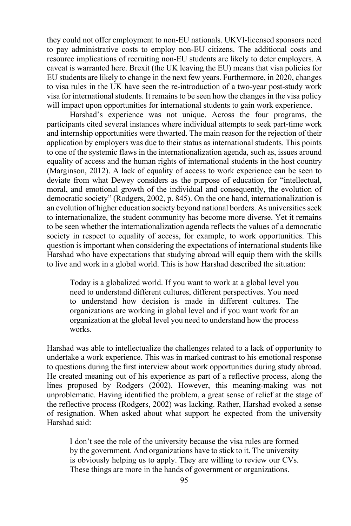they could not offer employment to non-EU nationals. UKVI-licensed sponsors need to pay administrative costs to employ non-EU citizens. The additional costs and resource implications of recruiting non-EU students are likely to deter employers. A caveat is warranted here. Brexit (the UK leaving the EU) means that visa policies for EU students are likely to change in the next few years. Furthermore, in 2020, changes to visa rules in the UK have seen the re-introduction of a two-year post-study work visa for international students. It remains to be seen how the changes in the visa policy will impact upon opportunities for international students to gain work experience.

Harshad's experience was not unique. Across the four programs, the participants cited several instances where individual attempts to seek part-time work and internship opportunities were thwarted. The main reason for the rejection of their application by employers was due to their status as international students. This points to one of the systemic flaws in the internationalization agenda, such as, issues around equality of access and the human rights of international students in the host country (Marginson, 2012). A lack of equality of access to work experience can be seen to deviate from what Dewey considers as the purpose of education for "intellectual, moral, and emotional growth of the individual and consequently, the evolution of democratic society" (Rodgers, 2002, p. 845). On the one hand, internationalization is an evolution of higher education society beyond national borders. As universities seek to internationalize, the student community has become more diverse. Yet it remains to be seen whether the internationalization agenda reflects the values of a democratic society in respect to equality of access, for example, to work opportunities. This question is important when considering the expectations of international students like Harshad who have expectations that studying abroad will equip them with the skills to live and work in a global world. This is how Harshad described the situation:

Today is a globalized world. If you want to work at a global level you need to understand different cultures, different perspectives. You need to understand how decision is made in different cultures. The organizations are working in global level and if you want work for an organization at the global level you need to understand how the process works.

Harshad was able to intellectualize the challenges related to a lack of opportunity to undertake a work experience. This was in marked contrast to his emotional response to questions during the first interview about work opportunities during study abroad. He created meaning out of his experience as part of a reflective process, along the lines proposed by Rodgers (2002). However, this meaning-making was not unproblematic. Having identified the problem, a great sense of relief at the stage of the reflective process (Rodgers, 2002) was lacking. Rather, Harshad evoked a sense of resignation. When asked about what support he expected from the university Harshad said:

I don't see the role of the university because the visa rules are formed by the government. And organizations have to stick to it. The university is obviously helping us to apply. They are willing to review our CVs. These things are more in the hands of government or organizations.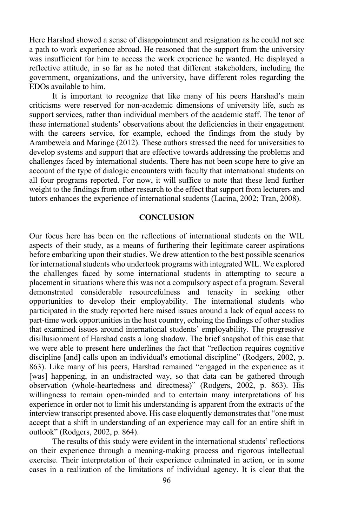Here Harshad showed a sense of disappointment and resignation as he could not see a path to work experience abroad. He reasoned that the support from the university was insufficient for him to access the work experience he wanted. He displayed a reflective attitude, in so far as he noted that different stakeholders, including the government, organizations, and the university, have different roles regarding the EDOs available to him.

It is important to recognize that like many of his peers Harshad's main criticisms were reserved for non-academic dimensions of university life, such as support services, rather than individual members of the academic staff. The tenor of these international students' observations about the deficiencies in their engagement with the careers service, for example, echoed the findings from the study by Arambewela and Maringe (2012). These authors stressed the need for universities to develop systems and support that are effective towards addressing the problems and challenges faced by international students. There has not been scope here to give an account of the type of dialogic encounters with faculty that international students on all four programs reported. For now, it will suffice to note that these lend further weight to the findings from other research to the effect that support from lecturers and tutors enhances the experience of international students (Lacina, 2002; Tran, 2008).

#### **CONCLUSION**

Our focus here has been on the reflections of international students on the WIL aspects of their study, as a means of furthering their legitimate career aspirations before embarking upon their studies. We drew attention to the best possible scenarios for international students who undertook programs with integrated WIL. We explored the challenges faced by some international students in attempting to secure a placement in situations where this was not a compulsory aspect of a program. Several demonstrated considerable resourcefulness and tenacity in seeking other opportunities to develop their employability. The international students who participated in the study reported here raised issues around a lack of equal access to part-time work opportunities in the host country, echoing the findings of other studies that examined issues around international students' employability. The progressive disillusionment of Harshad casts a long shadow. The brief snapshot of this case that we were able to present here underlines the fact that "reflection requires cognitive discipline [and] calls upon an individual's emotional discipline" (Rodgers, 2002, p. 863). Like many of his peers, Harshad remained "engaged in the experience as it [was] happening, in an undistracted way, so that data can be gathered through observation (whole-heartedness and directness)" (Rodgers, 2002, p. 863). His willingness to remain open-minded and to entertain many interpretations of his experience in order not to limit his understanding is apparent from the extracts of the interview transcript presented above. His case eloquently demonstratesthat "one must accept that a shift in understanding of an experience may call for an entire shift in outlook" (Rodgers, 2002, p. 864).

The results of this study were evident in the international students' reflections on their experience through a meaning-making process and rigorous intellectual exercise. Their interpretation of their experience culminated in action, or in some cases in a realization of the limitations of individual agency. It is clear that the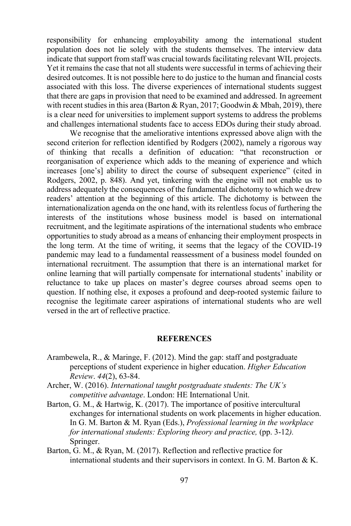responsibility for enhancing employability among the international student population does not lie solely with the students themselves. The interview data indicate that support from staff was crucial towards facilitating relevant WIL projects. Yet it remains the case that not all students were successful in terms of achieving their desired outcomes. It is not possible here to do justice to the human and financial costs associated with this loss. The diverse experiences of international students suggest that there are gaps in provision that need to be examined and addressed. In agreement with recent studies in this area (Barton & Ryan, 2017; Goodwin & Mbah, 2019), there is a clear need for universities to implement support systems to address the problems and challenges international students face to access EDOs during their study abroad.

We recognise that the ameliorative intentions expressed above align with the second criterion for reflection identified by Rodgers (2002), namely a rigorous way of thinking that recalls a definition of education: "that reconstruction or reorganisation of experience which adds to the meaning of experience and which increases [one's] ability to direct the course of subsequent experience" (cited in Rodgers, 2002, p. 848). And yet, tinkering with the engine will not enable us to address adequately the consequences of the fundamental dichotomy to which we drew readers' attention at the beginning of this article. The dichotomy is between the internationalization agenda on the one hand, with its relentless focus of furthering the interests of the institutions whose business model is based on international recruitment, and the legitimate aspirations of the international students who embrace opportunities to study abroad as a means of enhancing their employment prospects in the long term. At the time of writing, it seems that the legacy of the COVID-19 pandemic may lead to a fundamental reassessment of a business model founded on international recruitment. The assumption that there is an international market for online learning that will partially compensate for international students' inability or reluctance to take up places on master's degree courses abroad seems open to question. If nothing else, it exposes a profound and deep-rooted systemic failure to recognise the legitimate career aspirations of international students who are well versed in the art of reflective practice.

#### **REFERENCES**

- Arambewela, R., & Maringe, F. (2012). Mind the gap: staff and postgraduate perceptions of student experience in higher education. *Higher Education Review*. *44*(2), 63-84.
- Archer, W. (2016). *International taught postgraduate students: The UK's competitive advantage*. London: HE International Unit.
- Barton, G. M., & Hartwig, K. (2017). The importance of positive intercultural exchanges for international students on work placements in higher education. In G. M. Barton & M. Ryan (Eds.), *Professional learning in the workplace for international students: Exploring theory and practice, (pp. 3-12).* Springer.
- Barton, G. M., & Ryan, M. (2017). Reflection and reflective practice for international students and their supervisors in context. In G. M. Barton & K.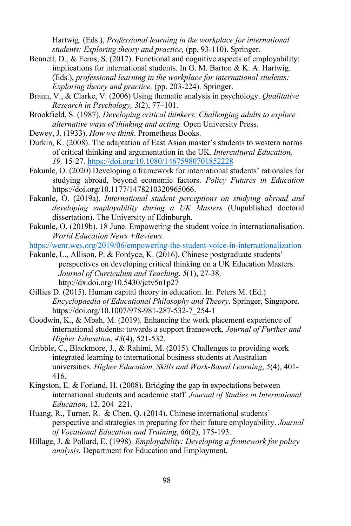Hartwig. (Eds.), *Professional learning in the workplace for international students: Exploring theory and practice,* (pp. 93-110). Springer.

- Bennett, D., & Ferns, S. (2017). Functional and cognitive aspects of employability: implications for international students. In G. M. Barton & K. A. Hartwig. (Eds.), *professional learning in the workplace for international students: Exploring theory and practice,* (pp. 203-224). Springer.
- Braun, V., & Clarke, V. (2006) Using thematic analysis in psychology. *Qualitative Research in Psychology, 3*(2), 77–101.
- Brookfield, S. (1987). *Developing critical thinkers: Challenging adults to explore alternative ways of thinking and acting.* Open University Press.
- Dewey, J. (1933). *How we think*. Prometheus Books.
- Durkin, K. (2008). The adaptation of East Asian master's students to western norms of critical thinking and argumentation in the UK*. Intercultural Education, 19,* 15-27. https://doi.org/10.1080/14675980701852228
- Fakunle, O. (2020) Developing a framework for international students' rationales for studying abroad, beyond economic factors. *Policy Futures in Education* https://doi.org/10.1177/1478210320965066.
- Fakunle, O. (2019a). *International student perceptions on studying abroad and developing employability during a UK Masters* (Unpublished doctoral dissertation). The University of Edinburgh.
- Fakunle, O. (2019b). 18 June. Empowering the student voice in internationalisation. *World Education News +Reviews*.

https://wenr.wes.org/2019/06/empowering-the-student-voice-in-internationalization

- Fakunle, L., Allison, P. & Fordyce, K. (2016). Chinese postgraduate students' perspectives on developing critical thinking on a UK Education Masters. *Journal of Curriculum and Teaching*, *5*(1), 27-38. http://dx.doi.org/10.5430/jctv5n1p27
- Gillies D. (2015). Human capital theory in education. In: Peters M. (Ed.) *Encyclopaedia of Educational Philosophy and Theory*. Springer, Singapore. https://doi.org/10.1007/978-981-287-532-7\_254-1
- Goodwin, K., & Mbah, M. (2019). Enhancing the work placement experience of international students: towards a support framework, *Journal of Further and Higher Education*, *43*(4), 521-532.
- Gribble, C., Blackmore, J., & Rahimi, M. (2015). Challenges to providing work integrated learning to international business students at Australian universities. *Higher Education, Skills and Work-Based Learning*, *5*(4), 401- 416.
- Kingston, E. & Forland, H. (2008). Bridging the gap in expectations between international students and academic staff. *Journal of Studies in International Education*, 12, 204–221.
- Huang, R., Turner, R. & Chen, Q. (2014). Chinese international students' perspective and strategies in preparing for their future employability. *Journal of Vocational Education and Training*, *66*(2), 175-193.
- Hillage, J. & Pollard, E. (1998). *Employability: Developing a framework for policy analysis.* Department for Education and Employment.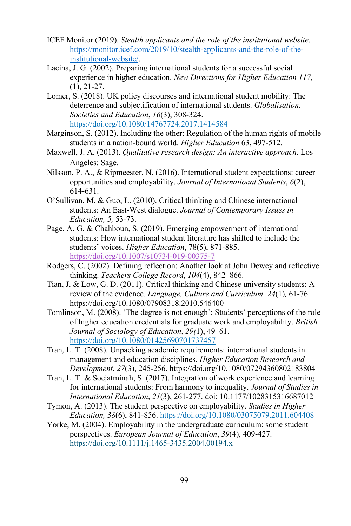- ICEF Monitor (2019). *Stealth applicants and the role of the institutional website*. https://monitor.icef.com/2019/10/stealth-applicants-and-the-role-of-theinstitutional-website/.
- Lacina, J. G. (2002). Preparing international students for a successful social experience in higher education. *New Directions for Higher Education 117,*   $(1), 21-27.$
- Lomer, S. (2018). UK policy discourses and international student mobility: The deterrence and subjectification of international students. *Globalisation, Societies and Education*, *16*(3), 308-324. https://doi.org/10.1080/14767724.2017.1414584
- Marginson, S. (2012). Including the other: Regulation of the human rights of mobile students in a nation-bound world. *Higher Education* 63, 497-512.
- Maxwell, J. A. (2013). *Qualitative research design: An interactive approach*. Los Angeles: Sage.
- Nilsson, P. A., & Ripmeester, N. (2016). International student expectations: career opportunities and employability. *Journal of International Students*, *6*(2), 614-631.
- O'Sullivan, M. & Guo, L. (2010). Critical thinking and Chinese international students: An East-West dialogue. *Journal of Contemporary Issues in Education, 5,* 53-73.
- Page, A. G. & Chahboun, S. (2019). Emerging empowerment of international students: How international student literature has shifted to include the students' voices. *Higher Education*, 78(5), 871-885. https://doi.org/10.1007/s10734-019-00375-7
- Rodgers, C. (2002). Defining reflection: Another look at John Dewey and reflective thinking. *Teachers College Record*, *104*(4), 842–866.
- Tian, J. & Low, G. D. (2011). Critical thinking and Chinese university students: A review of the evidence*. Language, Culture and Curriculum, 24*(1)*,* 61-76. https://doi.org/10.1080/07908318.2010.546400
- Tomlinson, M. (2008). 'The degree is not enough': Students' perceptions of the role of higher education credentials for graduate work and employability. *British Journal of Sociology of Education*, *29(*1), 49–61. https://doi.org/10.1080/01425690701737457
- Tran, L. T. (2008). Unpacking academic requirements: international students in management and education disciplines. *Higher Education Research and Development*, *27*(3), 245-256. https://doi.org/10.1080/07294360802183804
- Tran, L. T. & Soejatminah, S. (2017). Integration of work experience and learning for international students: From harmony to inequality. *Journal of Studies in International Education*, *21*(3), 261-277. doi: 10.1177/1028315316687012
- Tymon, A. (2013). The student perspective on employability. *Studies in Higher Education, 38*(6), 841-856. https://doi.org/10.1080/03075079.2011.604408
- Yorke, M. (2004). Employability in the undergraduate curriculum: some student perspectives. *European Journal of Education*, *39*(4), 409-427. https://doi.org/10.1111/j.1465-3435.2004.00194.x